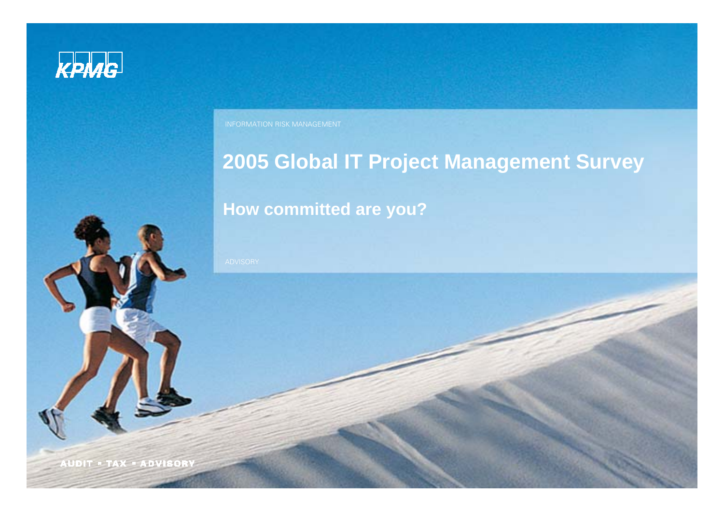

INFORMATION RISK MANAGEMENT

### **2005 Global IT Project Management Survey**

#### **How committed are you?**

**AUDIT . TAX . ADVISORY**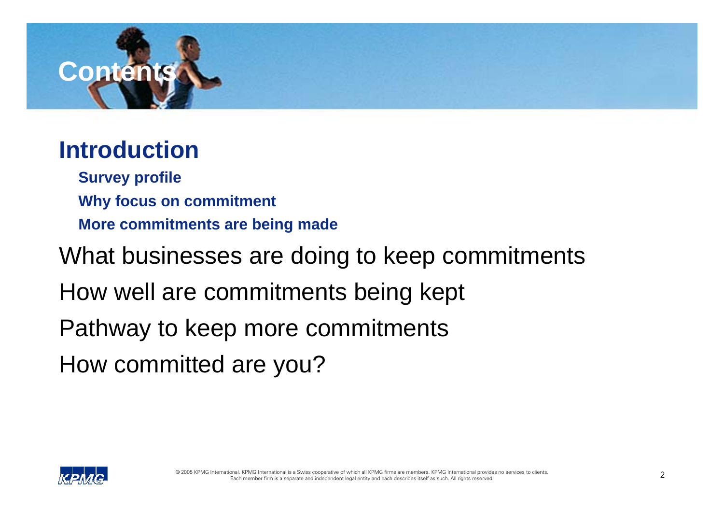

**Survey profile Why focus on commitment More commitments are being made**

What businesses are doing to keep commitments

How well are commitments being kept

Pathway to keep more commitments

How committed are you?

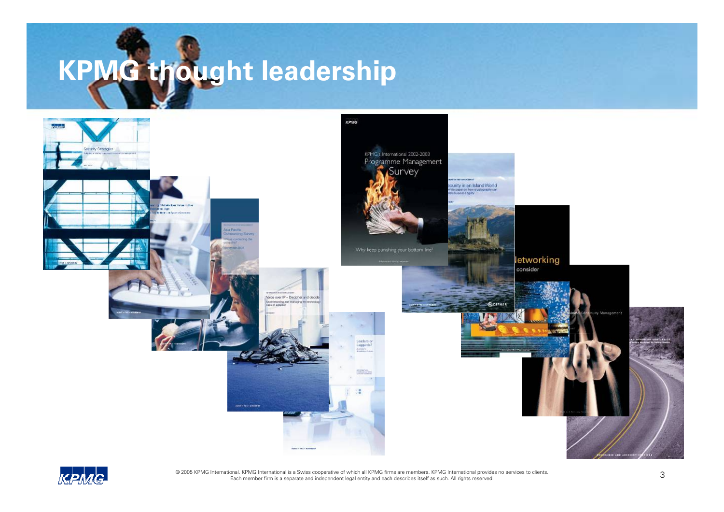



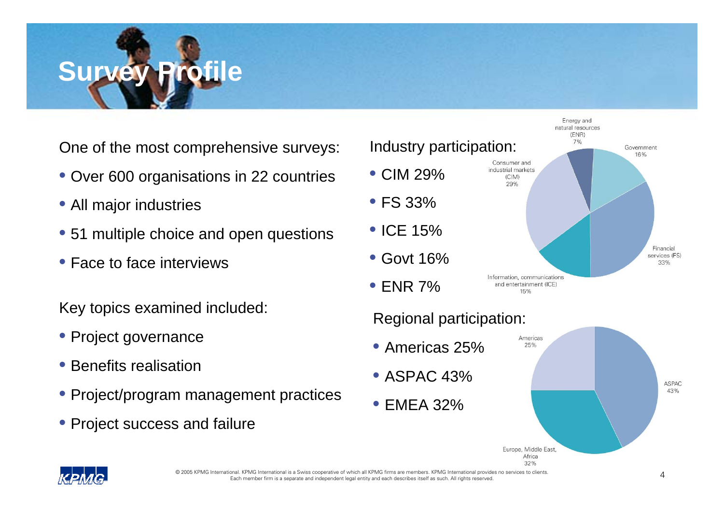

One of the most comprehensive surveys:

- Over 600 organisations in 22 countries
- All major industries
- 51 multiple choice and open questions
- Face to face interviews

Key topics examined included:

- Project governance
- Benefits realisation
- Project/program management practices
- Project success and failure

### Industry participation:



Energy and natural resources (ENR)  $7%$ 

Government 16%

#### Regional participation:





© 2005 KPMG International. KPMG International is a Swiss cooperative of which all KPMG firms are members. KPMG International provides no services to clients<br>Each member firm is a separate and independent legal entity and e

33%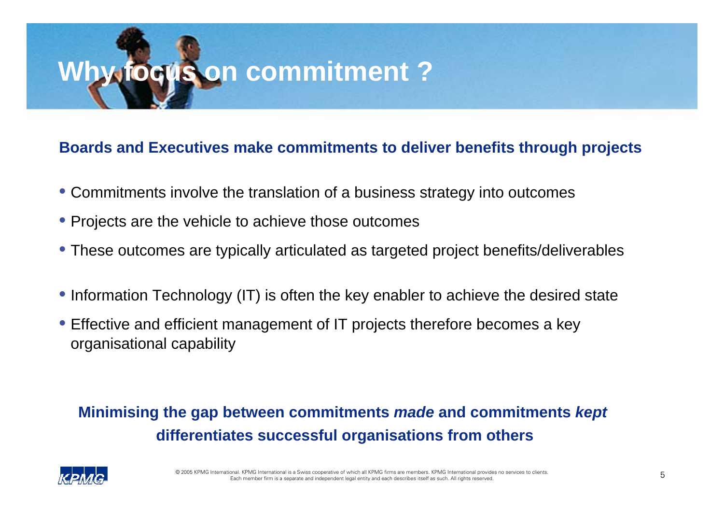# **Why focus on commitment ?**

#### **Boards and Executives make commitments to deliver benefits through projects**

- Commitments involve the translation of a business strategy into outcomes
- Projects are the vehicle to achieve those outcomes
- These outcomes are typically articulated as targeted project benefits/deliverables
- Information Technology (IT) is often the key enabler to achieve the desired state
- Effective and efficient management of IT projects therefore becomes a key organisational capability

#### **Minimising the gap between commitments** *made* **and commitments** *kept* **differentiates successful organisations from others**

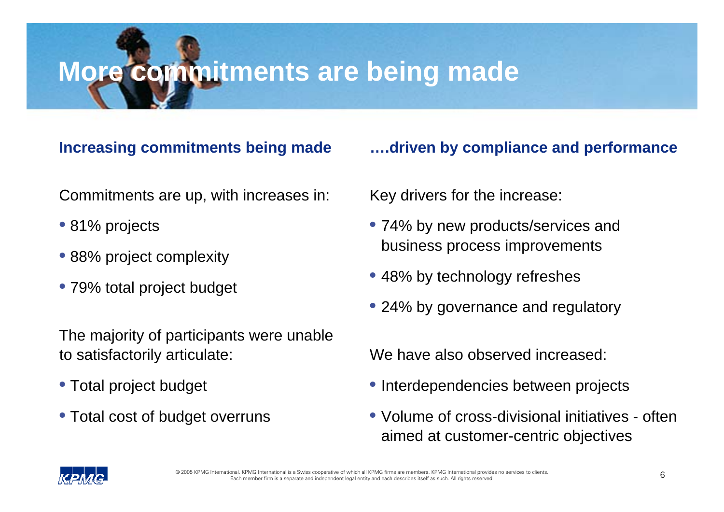# **More commitments are being made**

#### **Increasing commitments being made**

Commitments are up, with increases in:

- 81% projects
- 88% project complexity
- 79% total project budget

The majority of participants were unable to satisfactorily articulate:

- Total project budget
- Total cost of budget overruns

#### **….driven by compliance and performance**

Key drivers for the increase:

- 74% by new products/services and business process improvements
- 48% by technology refreshes
- 24% by governance and regulatory

We have also observed increased:

- Interdependencies between projects
- Volume of cross-divisional initiatives often aimed at customer-centric objectives

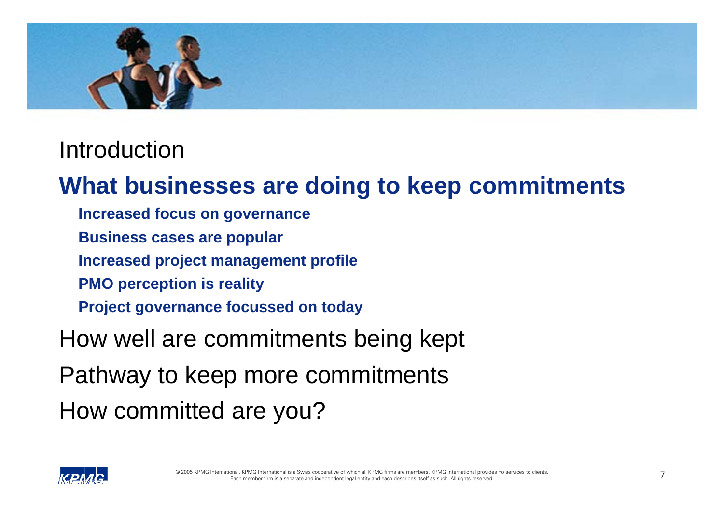

### **What businesses are doing to keep commitments**

- **Increased focus on governance**
- **Business cases are popular**
- **Increased project management profile**
- **PMO perception is reality**
- **Project governance focussed on today**
- How well are commitments being kept
- Pathway to keep more commitments
- How committed are you?

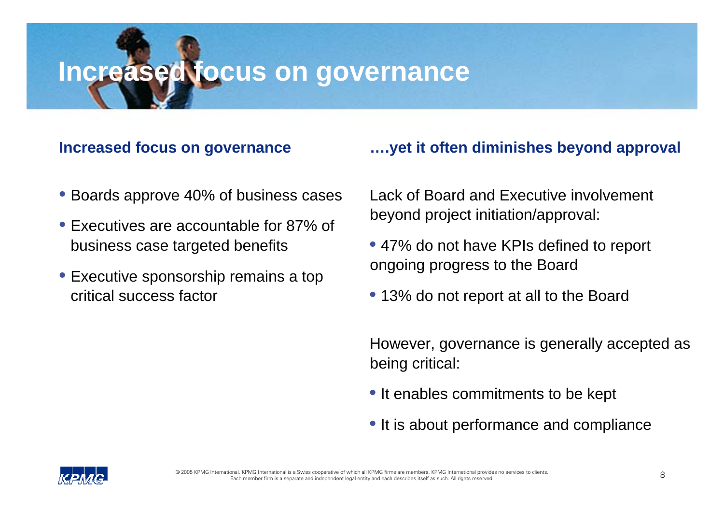### **Increased focus on governance**

#### **Increased focus on governance**

# **….yet it often diminishes beyond approval**

- Boards approve 40% of business cases
- Executives are accountable for 87% of business case targeted benefits
- Executive sponsorship remains a top critical success factor

Lack of Board and Executive involvement beyond project initiation/approval:

- 47% do not have KPIs defined to report ongoing progress to the Board
- 13% do not report at all to the Board

However, governance is generally accepted as being critical:

- It enables commitments to be kept
- It is about performance and compliance

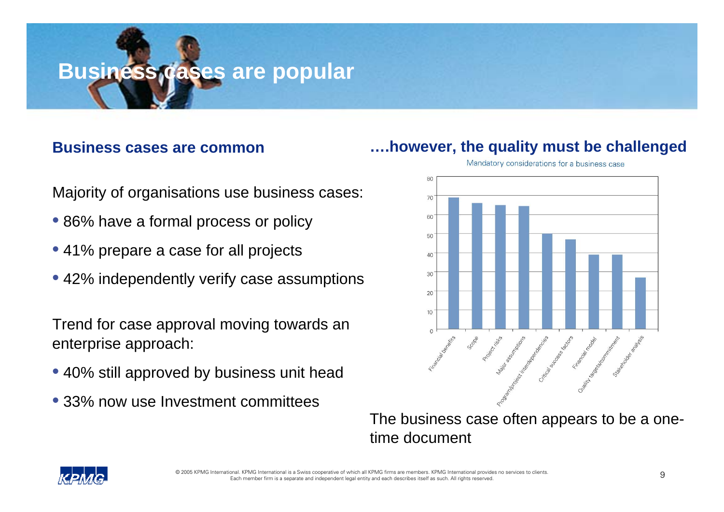### **Business cases are popular**

#### **Business cases are common**

**….however, the quality must be challenged**

80 70 60 50  $40<sup>°</sup>$  $30<sup>°</sup>$ 20 10

Mandatory considerations for a business case

- Majority of organisations use business cases:
- 86% have a formal process or policy
- 41% prepare a case for all projects
- 42% independently verify case assumptions

Trend for case approval moving towards an enterprise approach:

- 40% still approved by business unit head
- 33% now use Investment committees

The business case often appears to be a onetime document

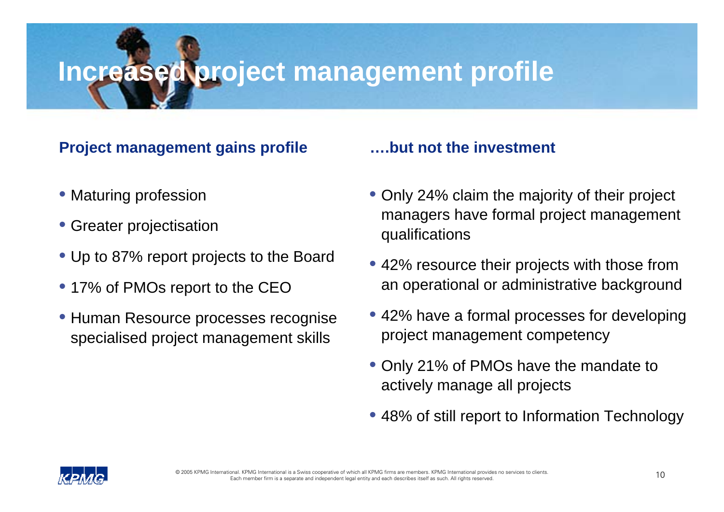## **Increased project management profile**

#### **Project management gains profile**

- Maturing profession
- Greater projectisation
- Up to 87% report projects to the Board
- 17% of PMOs report to the CEO
- Human Resource processes recognise specialised project management skills

#### **….but not the investment**

- Only 24% claim the majority of their project managers have formal project management qualifications
- 42% resource their projects with those from an operational or administrative background
- 42% have a formal processes for developing project management competency
- Only 21% of PMOs have the mandate to actively manage all projects
- 48% of still report to Information Technology

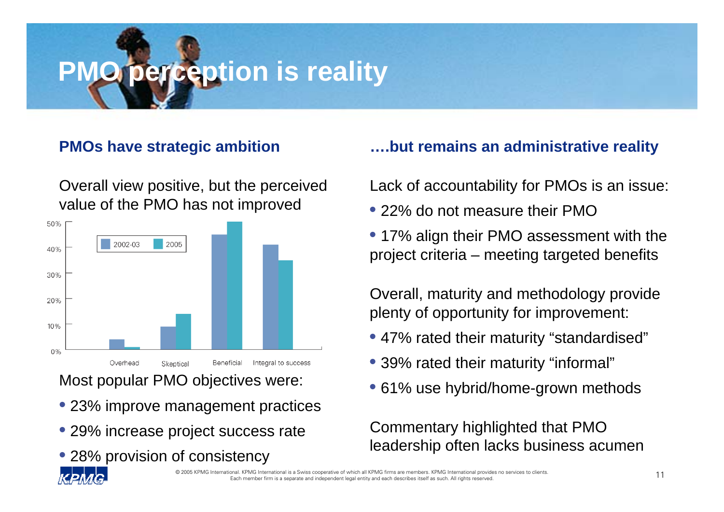# **perception is reality**

#### **PMOs have strategic ambition**

Overall view positive, but the perceived value of the PMO has not improved



Most popular PMO objectives were:

- 23% improve management practices
- 29% increase project success rate
- 28% provision of consistency

#### **….but remains an administrative reality**

Lack of accountability for PMOs is an issue:

- 22% do not measure their PMO
- 17% align their PMO assessment with the project criteria – meeting targeted benefits

Overall, maturity and methodology provide plenty of opportunity for improvement:

- 47% rated their maturity "standardised"
- 39% rated their maturity "informal"
- 61% use hybrid/home-grown methods

Commentary highlighted that PMO leadership often lacks business acumen

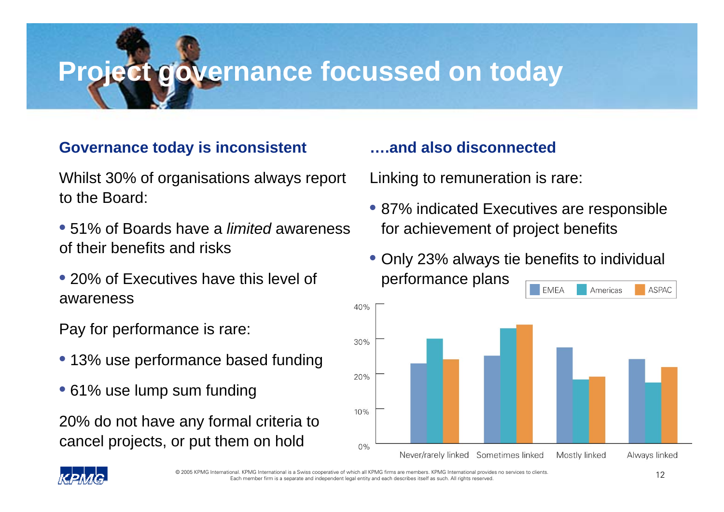# **Project governance focussed on today**

#### **Governance today is inconsistent**

Whilst 30% of organisations always report to the Board:

- 51% of Boards have a *limited* awareness of their benefits and risks
- 20% of Executives have this level of awareness

Pay for performance is rare:

- 13% use performance based funding
- 61% use lump sum funding

20% do not have any formal criteria to cancel projects, or put them on hold

#### **….and also disconnected**

Linking to remuneration is rare:

- 87% indicated Executives are responsible for achievement of project benefits
- Only 23% always tie benefits to individual performance plans



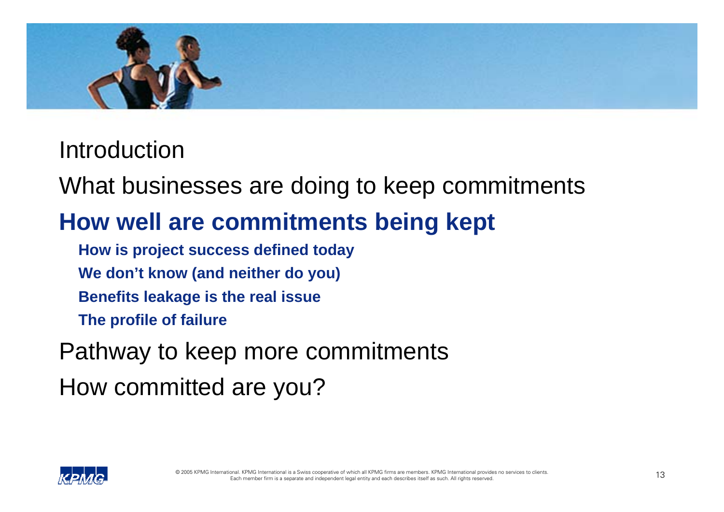

What businesses are doing to keep commitments

### **How well are commitments being kept**

**How is project success defined today**

**We don't know (and neither do you)**

**Benefits leakage is the real issue**

**The profile of failure**

Pathway to keep more commitments

How committed are you?

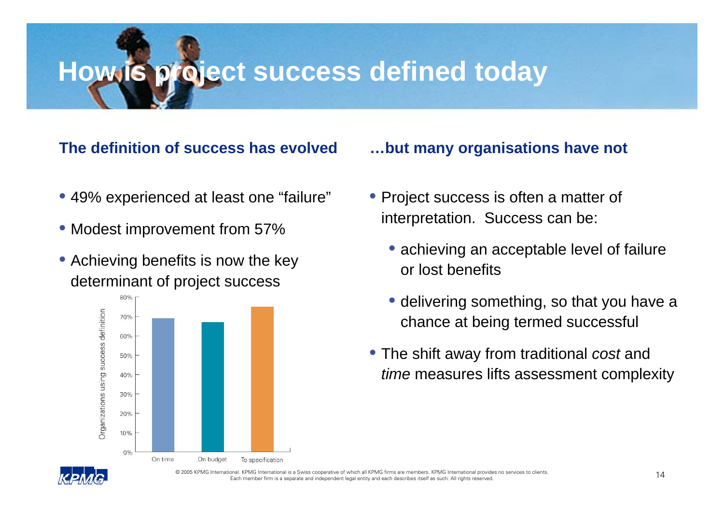## **How is project success defined today**

#### **The definition of success has evolved**

- 49% experienced at least one "failure"
- Modest improvement from 57%
- Achieving benefits is now the key determinant of project success



#### **…but many organisations have not**

- Project success is often a matter of interpretation. Success can be:
	- achieving an acceptable level of failure or lost benefits
	- delivering something, so that you have a chance at being termed successful
- The shift away from traditional *cost* and *time* measures lifts assessment complexity

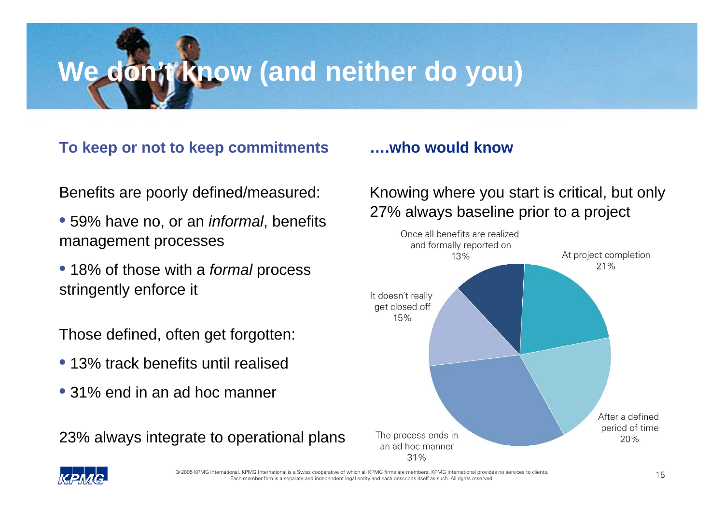# **We don't know (and neither do you)**

#### **To keep or not to keep commitments**

Benefits are poorly defined/measured:

- 59% have no, or an *informal*, benefits management processes
- 18% of those with a *formal* process stringently enforce it

Those defined, often get forgotten:

- 13% track benefits until realised
- 31% end in an ad hoc manner

23% always integrate to operational plans

#### **….who would know**

#### Knowing where you start is critical, but only 27% always baseline prior to a project



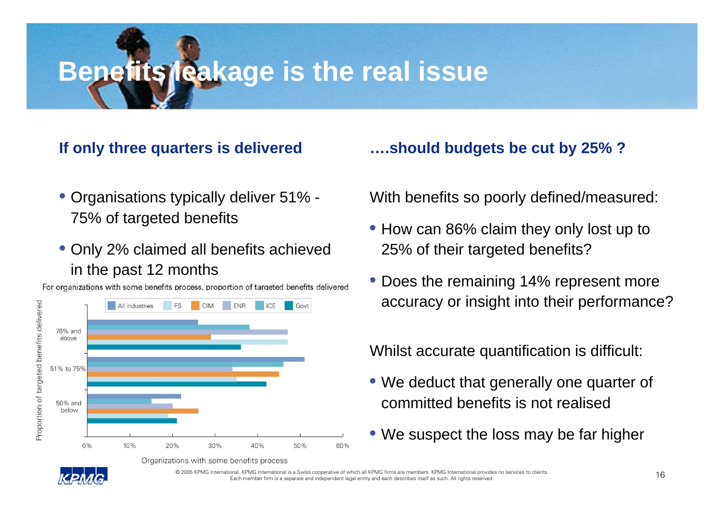# **Benefits leakage is the real issue**

#### **If only three quarters is delivered**

- Organisations typically deliver 51% 75% of targeted benefits
- Only 2% claimed all benefits achieved in the past 12 months



Organizations with some benefits process

For organizations with some benefits process, proportion of targeted benefits delivered

#### **….should budgets be cut by 25% ?**

With benefits so poorly defined/measured:

- How can 86% claim they only lost up to 25% of their targeted benefits?
- Does the remaining 14% represent more accuracy or insight into their performance?

Whilst accurate quantification is difficult:

- We deduct that generally one quarter of committed benefits is not realised
- We suspect the loss may be far higher

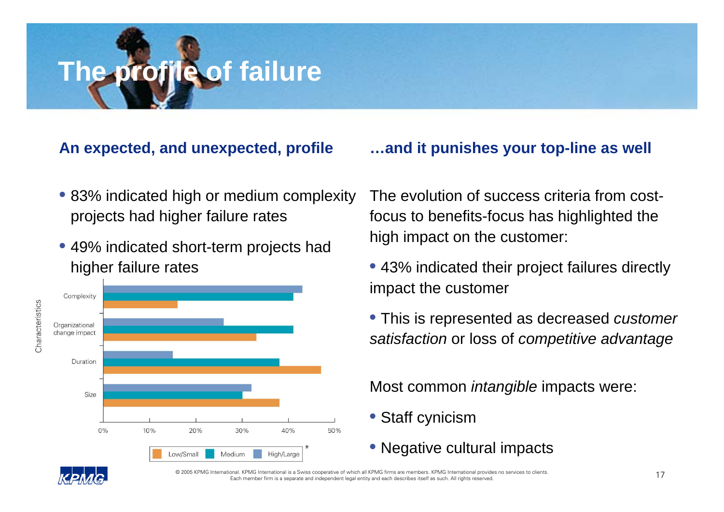# **The profile of failure**

#### **An expected, and unexpected, profile**

- 83% indicated high or medium complexity projects had higher failure rates
- 49% indicated short-term projects had higher failure rates



#### **…and it punishes your top-line as well**

The evolution of success criteria from costfocus to benefits-focus has highlighted the high impact on the customer:

- 43% indicated their project failures directly impact the customer
- This is represented as decreased *customer satisfaction* or loss of *competitive advantage*

Most common *intangible* impacts were:

- Staff cynicism
- Negative cultural impacts

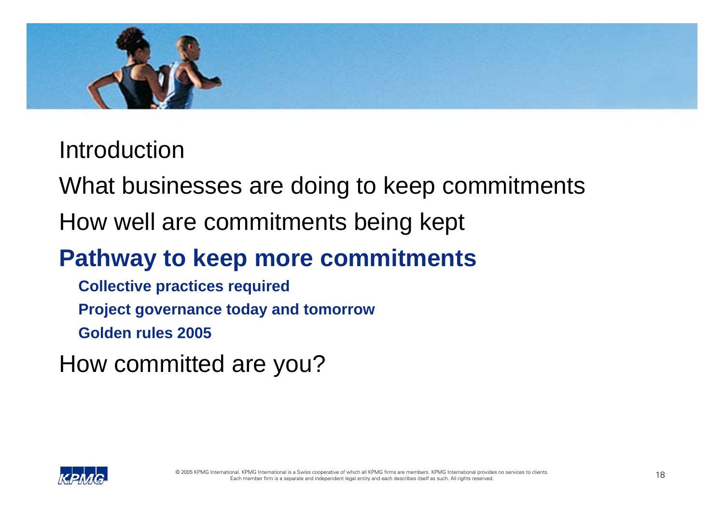

What businesses are doing to keep commitments

How well are commitments being kept

### **Pathway to keep more commitments**

**Collective practices required Project governance today and tomorrow Golden rules 2005**

How committed are you?

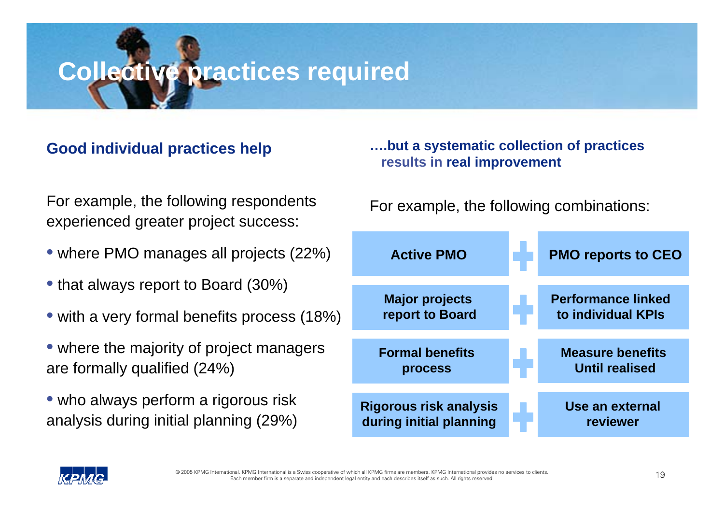# **Collective practices required**

#### **Good individual practices help**

#### **….but a systematic collection of practices results in real improvement**

For example, the following respondents experienced greater project success:

- where PMO manages all projects (22%)
- that always report to Board (30%)
- with a very formal benefits process (18%)
- where the majority of project managers are formally qualified (24%)
- who always perform a rigorous risk analysis during initial planning (29%)

For example, the following combinations:

| <b>Active PMO</b>                                        | <b>PMO reports to CEO</b>                        |
|----------------------------------------------------------|--------------------------------------------------|
| <b>Major projects</b><br>report to Board                 | <b>Performance linked</b><br>to individual KPIs  |
| <b>Formal benefits</b><br>process                        | <b>Measure benefits</b><br><b>Until realised</b> |
| <b>Rigorous risk analysis</b><br>during initial planning | Use an external<br>reviewer                      |

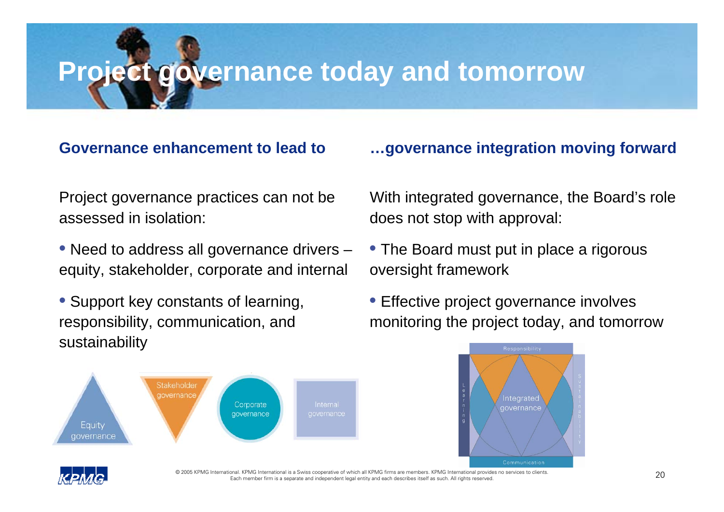# **Project governance today and tomorrow**

#### **Governance enhancement to lead to**

Project governance practices can not be assessed in isolation:

• Need to address all governance drivers – equity, stakeholder, corporate and internal

• Support key constants of learning, responsibility, communication, and sustainability



#### **…governance integration moving forward**

With integrated governance, the Board's role does not stop with approval:

- The Board must put in place a rigorous oversight framework
- Effective project governance involves monitoring the project today, and tomorrow

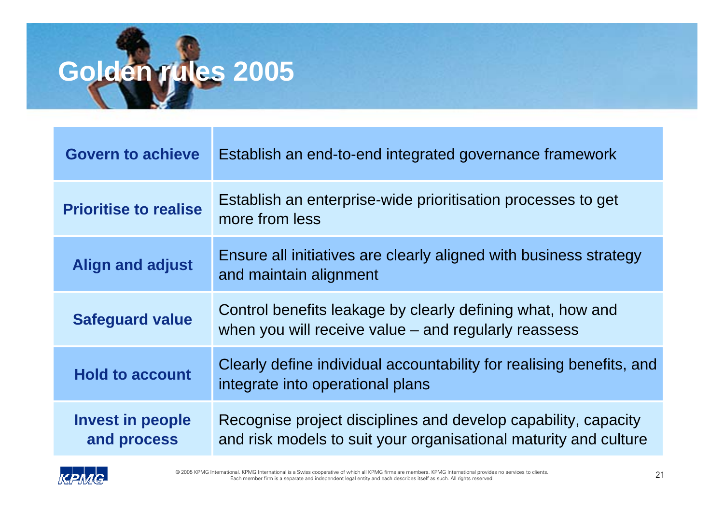# **Golden rules 2005**

| <b>Govern to achieve</b>               | Establish an end-to-end integrated governance framework                                                                            |
|----------------------------------------|------------------------------------------------------------------------------------------------------------------------------------|
| <b>Prioritise to realise</b>           | Establish an enterprise-wide prioritisation processes to get<br>more from less                                                     |
| <b>Align and adjust</b>                | Ensure all initiatives are clearly aligned with business strategy<br>and maintain alignment                                        |
| <b>Safeguard value</b>                 | Control benefits leakage by clearly defining what, how and<br>when you will receive value $-$ and regularly reassess               |
| <b>Hold to account</b>                 | Clearly define individual accountability for realising benefits, and<br>integrate into operational plans                           |
| <b>Invest in people</b><br>and process | Recognise project disciplines and develop capability, capacity<br>and risk models to suit your organisational maturity and culture |

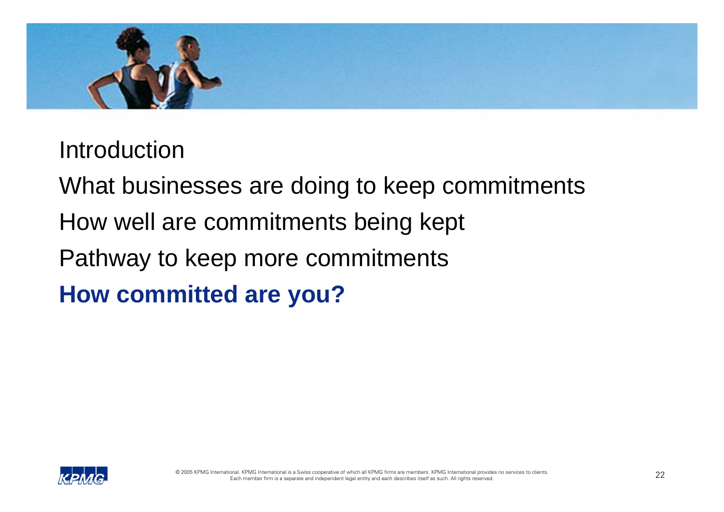

What businesses are doing to keep commitments

- How well are commitments being kept
- Pathway to keep more commitments

**How committed are you?**

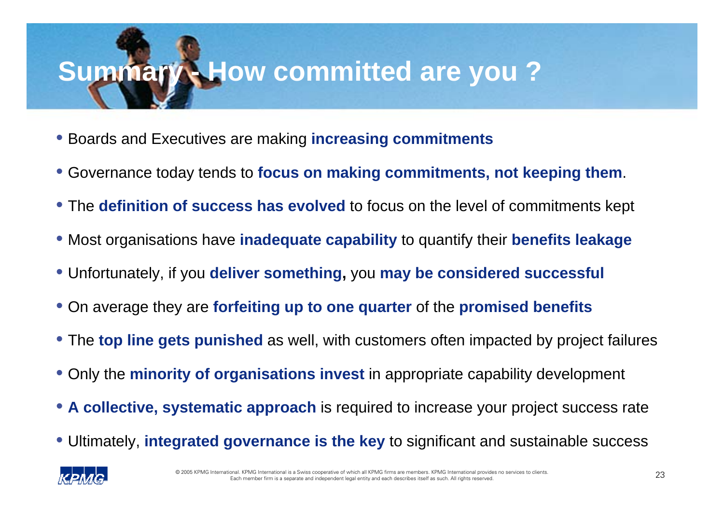# **Summary - How committed are you ?**

- Boards and Executives are making **increasing commitments**
- Governance today tends to **focus on making commitments, not keeping them**.
- The **definition of success has evolved** to focus on the level of commitments kept
- Most organisations have **inadequate capability** to quantify their **benefits leakage**
- Unfortunately, if you **deliver something,** you **may be considered successful**
- On average they are **forfeiting up to one quarter** of the **promised benefits**
- The **top line gets punished** as well, with customers often impacted by project failures
- Only the **minority of organisations invest** in appropriate capability development
- **A collective, systematic approach** is required to increase your project success rate
- Ultimately, **integrated governance is the key** to significant and sustainable success